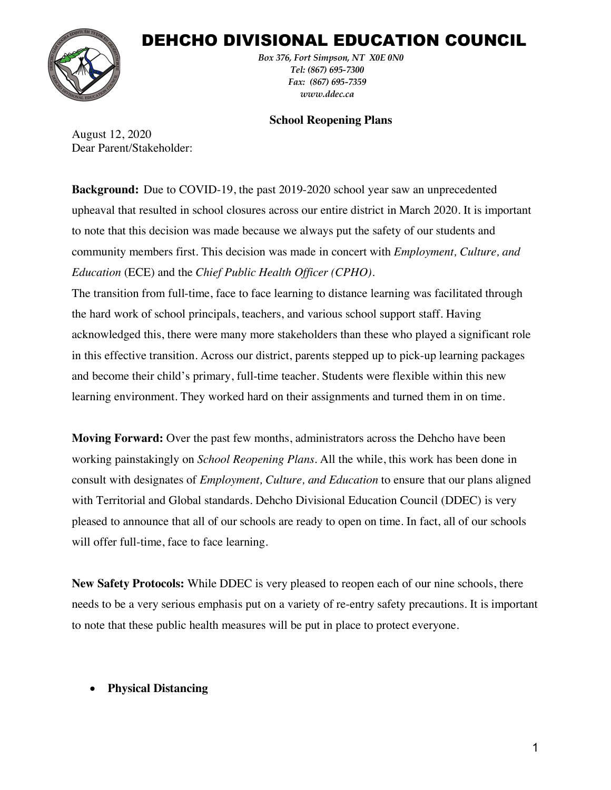# DEHCHO DIVISIONAL EDUCATION COUNCIL



*Box 376, Fort Simpson, NT X0E 0N0 Tel: (867) 695-7300 Fax: (867) 695-7359 www.ddec.ca*

#### **School Reopening Plans**

August 12, 2020 Dear Parent/Stakeholder:

**Background:** Due to COVID-19, the past 2019-2020 school year saw an unprecedented upheaval that resulted in school closures across our entire district in March 2020. It is important to note that this decision was made because we always put the safety of our students and community members first. This decision was made in concert with *Employment, Culture, and Education* (ECE) and the *Chief Public Health Officer (CPHO)*.

The transition from full-time, face to face learning to distance learning was facilitated through the hard work of school principals, teachers, and various school support staff. Having acknowledged this, there were many more stakeholders than these who played a significant role in this effective transition. Across our district, parents stepped up to pick-up learning packages and become their child's primary, full-time teacher. Students were flexible within this new learning environment. They worked hard on their assignments and turned them in on time.

**Moving Forward:** Over the past few months, administrators across the Dehcho have been working painstakingly on *School Reopening Plans*. All the while, this work has been done in consult with designates of *Employment, Culture, and Education* to ensure that our plans aligned with Territorial and Global standards. Dehcho Divisional Education Council (DDEC) is very pleased to announce that all of our schools are ready to open on time. In fact, all of our schools will offer full-time, face to face learning.

**New Safety Protocols:** While DDEC is very pleased to reopen each of our nine schools, there needs to be a very serious emphasis put on a variety of re-entry safety precautions. It is important to note that these public health measures will be put in place to protect everyone.

# • **Physical Distancing**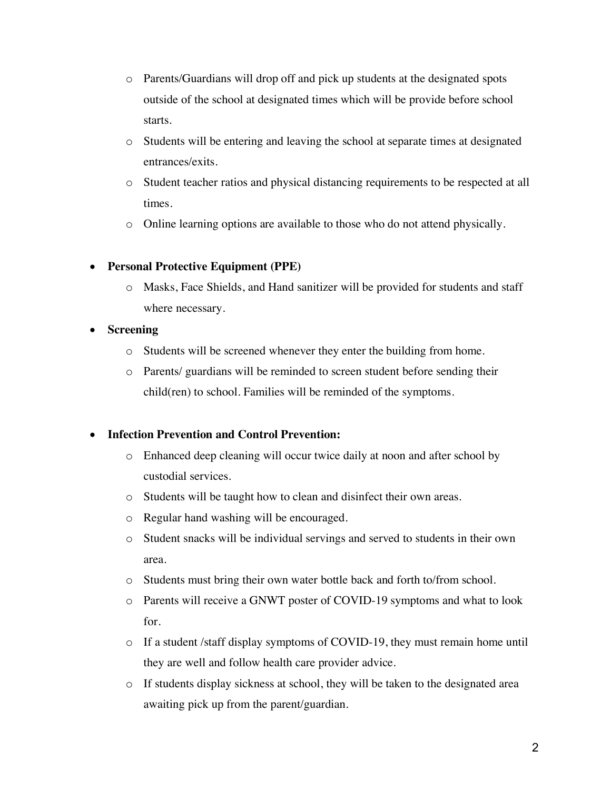- o Parents/Guardians will drop off and pick up students at the designated spots outside of the school at designated times which will be provide before school starts.
- o Students will be entering and leaving the school at separate times at designated entrances/exits.
- o Student teacher ratios and physical distancing requirements to be respected at all times.
- o Online learning options are available to those who do not attend physically.

# • **Personal Protective Equipment (PPE)**

o Masks, Face Shields, and Hand sanitizer will be provided for students and staff where necessary.

# • **Screening**

- o Students will be screened whenever they enter the building from home.
- o Parents/ guardians will be reminded to screen student before sending their child(ren) to school. Families will be reminded of the symptoms.

# • **Infection Prevention and Control Prevention:**

- o Enhanced deep cleaning will occur twice daily at noon and after school by custodial services.
- o Students will be taught how to clean and disinfect their own areas.
- o Regular hand washing will be encouraged.
- o Student snacks will be individual servings and served to students in their own area.
- o Students must bring their own water bottle back and forth to/from school.
- o Parents will receive a GNWT poster of COVID-19 symptoms and what to look for.
- o If a student /staff display symptoms of COVID-19, they must remain home until they are well and follow health care provider advice.
- o If students display sickness at school, they will be taken to the designated area awaiting pick up from the parent/guardian.